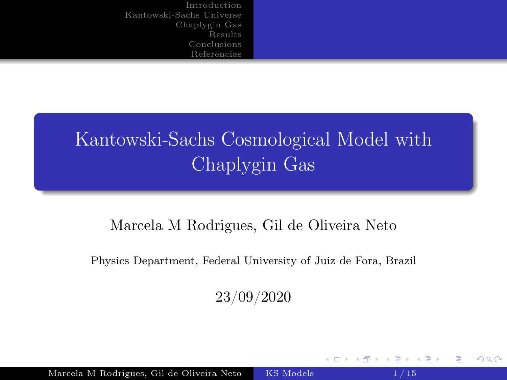# <span id="page-0-0"></span>Kantowski-Sachs Cosmological Model with Chaplygin Gas

#### Marcela M Rodrigues, Gil de Oliveira Neto

Physics Department, Federal University of Juiz de Fora, Brazil

23/09/2020

 $\leftarrow$ 

 $2Q$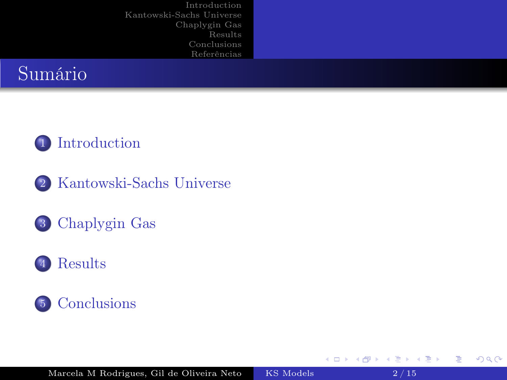# Sumário

#### 1 [Introduction](#page-2-0)

- 2 [Kantowski-Sachs Universe](#page-3-0)
- 3 [Chaplygin Gas](#page-7-0)





4 . EL 19

重

 $298$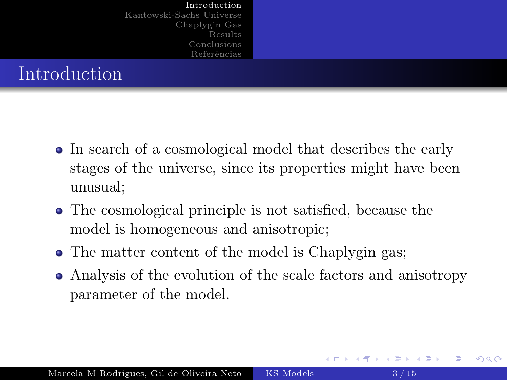<span id="page-2-0"></span>

| Introduction<br>Kantowski-Sachs Universe<br>Chaplygin Gas<br>Results<br>Conclusions<br>Referências |  |
|----------------------------------------------------------------------------------------------------|--|
| Introduction                                                                                       |  |

- In search of a cosmological model that describes the early stages of the universe, since its properties might have been unusual;
- The cosmological principle is not satisfied, because the model is homogeneous and anisotropic;
- The matter content of the model is Chaplygin gas;
- Analysis of the evolution of the scale factors and anisotropy parameter of the model.

つへへ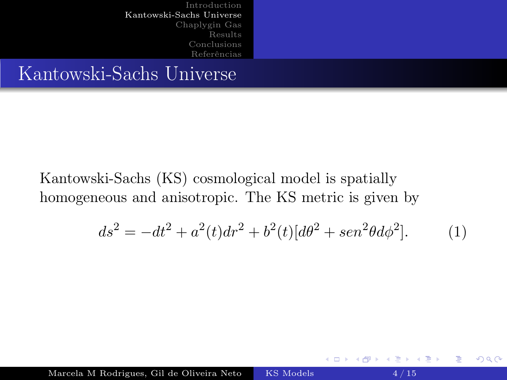<span id="page-3-0"></span>[Introduction](#page-2-0) [Kantowski-Sachs Universe](#page-3-0) [Chaplygin Gas](#page-7-0) [Results](#page-9-0) [Conclusions](#page-12-0) [Referências](#page-13-0) Kantowski-Sachs Universe

Kantowski-Sachs (KS) cosmological model is spatially homogeneous and anisotropic. The KS metric is given by

$$
ds^{2} = -dt^{2} + a^{2}(t)dr^{2} + b^{2}(t)[d\theta^{2} + \sin^{2}\theta d\phi^{2}].
$$
 (1)

 $2Q$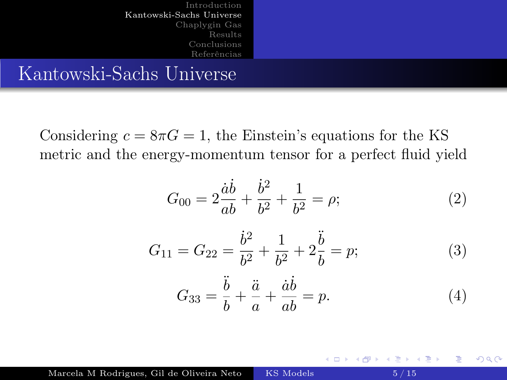[Introduction](#page-2-0) [Kantowski-Sachs Universe](#page-3-0) [Chaplygin Gas](#page-7-0) [Results](#page-9-0) [Conclusions](#page-12-0) [Referências](#page-13-0) Kantowski-Sachs Universe

Considering  $c = 8\pi G = 1$ , the Einstein's equations for the KS metric and the energy-momentum tensor for a perfect fluid yield

$$
G_{00} = 2\frac{\dot{a}\dot{b}}{ab} + \frac{\dot{b}^2}{b^2} + \frac{1}{b^2} = \rho; \tag{2}
$$

$$
G_{11} = G_{22} = \frac{\dot{b}^2}{b^2} + \frac{1}{b^2} + 2\frac{\ddot{b}}{b} = p; \tag{3}
$$

$$
G_{33} = \frac{\ddot{b}}{b} + \frac{\ddot{a}}{a} + \frac{\dot{a}\dot{b}}{ab} = p.
$$
 (4)

 $2Q$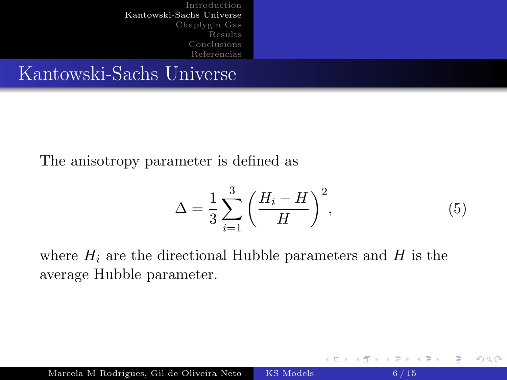[Introduction](#page-2-0) [Kantowski-Sachs Universe](#page-3-0) [Chaplygin Gas](#page-7-0) [Results](#page-9-0) [Conclusions](#page-12-0) [Referências](#page-13-0) Kantowski-Sachs Universe

The anisotropy parameter is defined as

$$
\Delta = \frac{1}{3} \sum_{i=1}^{3} \left( \frac{H_i - H}{H} \right)^2,\tag{5}
$$

∢ロト ∢母 ト ∢ ヨ ト ∢ ヨ ト

 $2Q$ 

where  $H_i$  are the directional Hubble parameters and  $H$  is the average Hubble parameter.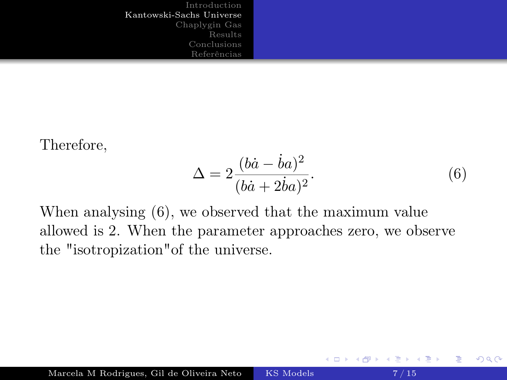Therefore,

<span id="page-6-0"></span>
$$
\Delta = 2 \frac{(b\dot{a} - \dot{b}a)^2}{(b\dot{a} + 2\dot{b}a)^2}.
$$
\n(6)

 $\leftarrow$ 

おくぼわす

 $2Q$ 

When analysing [\(6\)](#page-6-0), we observed that the maximum value allowed is 2. When the parameter approaches zero, we observe the "isotropization"of the universe.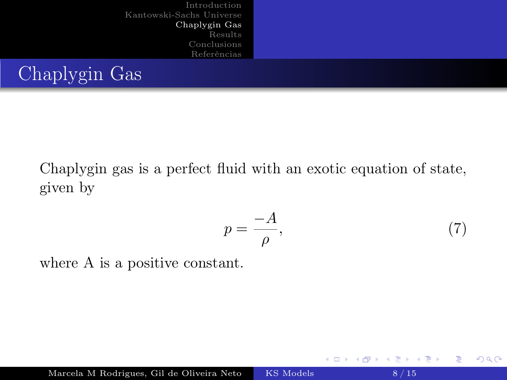<span id="page-7-0"></span>

| Introduction<br>Kantowski-Sachs Universe<br>Chaplygin Gas<br>Results<br>Conclusions<br>Referências |  |
|----------------------------------------------------------------------------------------------------|--|
| Chaplygin Gas                                                                                      |  |

Chaplygin gas is a perfect fluid with an exotic equation of state, given by

<span id="page-7-1"></span>
$$
p = \frac{-A}{\rho},\tag{7}
$$

 $2Q$ 

where A is a positive constant.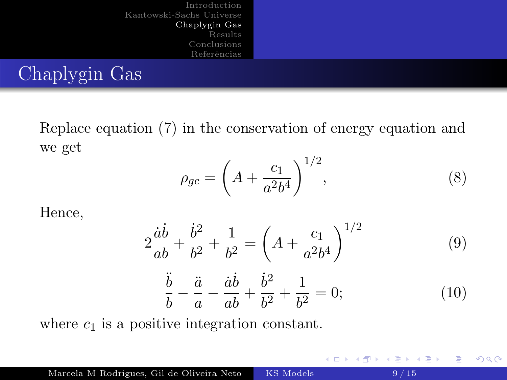<span id="page-8-0"></span>[Introduction](#page-2-0) [Kantowski-Sachs Universe](#page-3-0) [Chaplygin Gas](#page-7-0) [Results](#page-9-0) [Conclusions](#page-12-0) [Referências](#page-13-0) Chaplygin Gas

Replace equation [\(7\)](#page-7-1) in the conservation of energy equation and we get

$$
\rho_{gc} = \left(A + \frac{c_1}{a^2 b^4}\right)^{1/2},\tag{8}
$$

Hence,

$$
2\frac{\dot{a}\dot{b}}{ab} + \frac{\dot{b}^2}{b^2} + \frac{1}{b^2} = \left(A + \frac{c_1}{a^2 b^4}\right)^{1/2}
$$
(9)  

$$
\frac{\ddot{b}}{b} - \frac{\ddot{a}}{a} - \frac{\dot{a}\dot{b}}{ab} + \frac{\dot{b}^2}{b^2} + \frac{1}{b^2} = 0;
$$
(10)

where  $c_1$  is a positive integration constant.

 $298$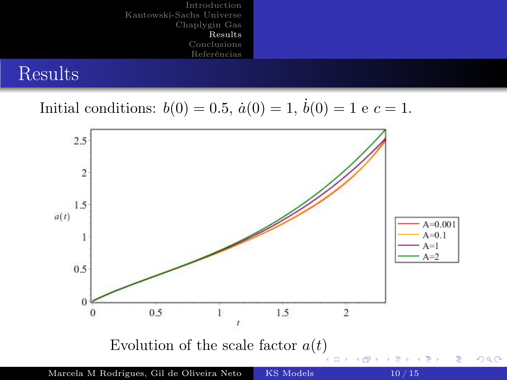<span id="page-9-0"></span>

#### Results

# Initial conditions:  $b(0) = 0.5$ ,  $\dot{a}(0) = 1$ ,  $\dot{b}(0) = 1$  e  $c = 1$ .

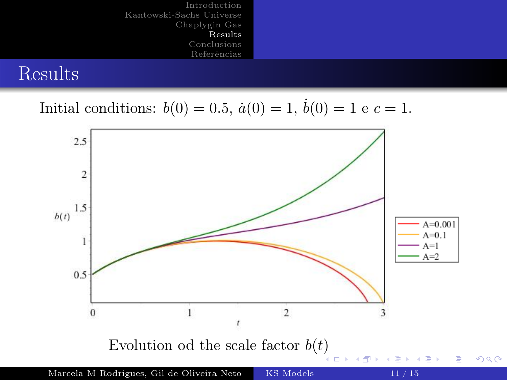

#### Results

# Initial conditions:  $b(0) = 0.5$ ,  $\dot{a}(0) = 1$ ,  $\dot{b}(0) = 1$  e  $c = 1$ .

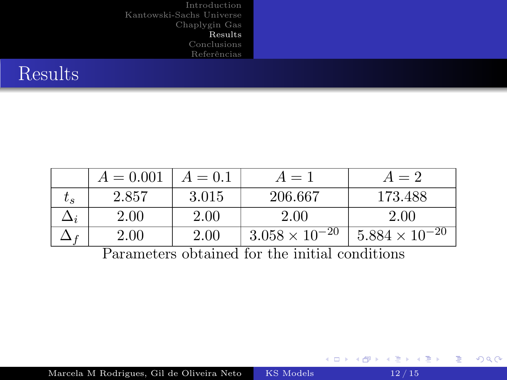# Results

|                                                 | $A = 0.001$ | $A = 0.1$ | $A=1$                   | $A=2$                   |
|-------------------------------------------------|-------------|-----------|-------------------------|-------------------------|
| $\iota_{s}$                                     | 2.857       | 3.015     | 206.667                 | 173.488                 |
|                                                 | 2.00        | 2.00      | 2.00                    | 2.00                    |
|                                                 | 2.00        | 2.00      | $3.058 \times 10^{-20}$ | $5.884 \times 10^{-20}$ |
| Dependence obtained for the initial conditions. |             |           |                         |                         |

Parameters obtained for the initial conditions

メロトメ 倒 トメ 君 トメ 君 トー

 $2990$ 

造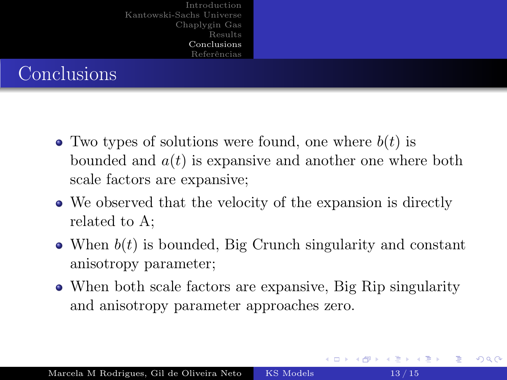<span id="page-12-0"></span>

|             | Introduction<br>Kantowski-Sachs Universe<br>Chaplygin Gas |  |
|-------------|-----------------------------------------------------------|--|
|             | Results<br>Conclusions<br>Referências                     |  |
| Conclusions |                                                           |  |

- Two types of solutions were found, one where  $b(t)$  is bounded and  $a(t)$  is expansive and another one where both scale factors are expansive;
- We observed that the velocity of the expansion is directly related to A;
- When  $b(t)$  is bounded, Big Crunch singularity and constant anisotropy parameter;
- When both scale factors are expansive, Big Rip singularity and anisotropy parameter approaches zero.

 $290$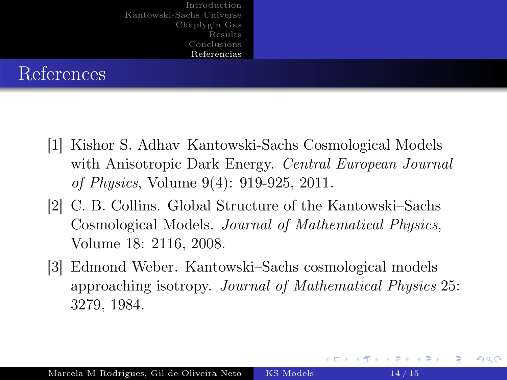<span id="page-13-0"></span>

|            | Introduction             |  |
|------------|--------------------------|--|
|            | Kantowski-Sachs Universe |  |
|            | Chaplygin Gas            |  |
|            | Results                  |  |
|            | Conclusions              |  |
|            | Referências              |  |
| References |                          |  |

- [1] Kishor S. Adhav Kantowski-Sachs Cosmological Models with Anisotropic Dark Energy. *Central European Journal* of Physics, Volume 9(4): 919-925, 2011.
- [2] C. B. Collins. Global Structure of the Kantowski–Sachs Cosmological Models. Journal of Mathematical Physics, Volume 18: 2116, 2008.
- [3] Edmond Weber. Kantowski–Sachs cosmological models approaching isotropy. Journal of Mathematical Physics 25: 3279, 1984.

つへへ